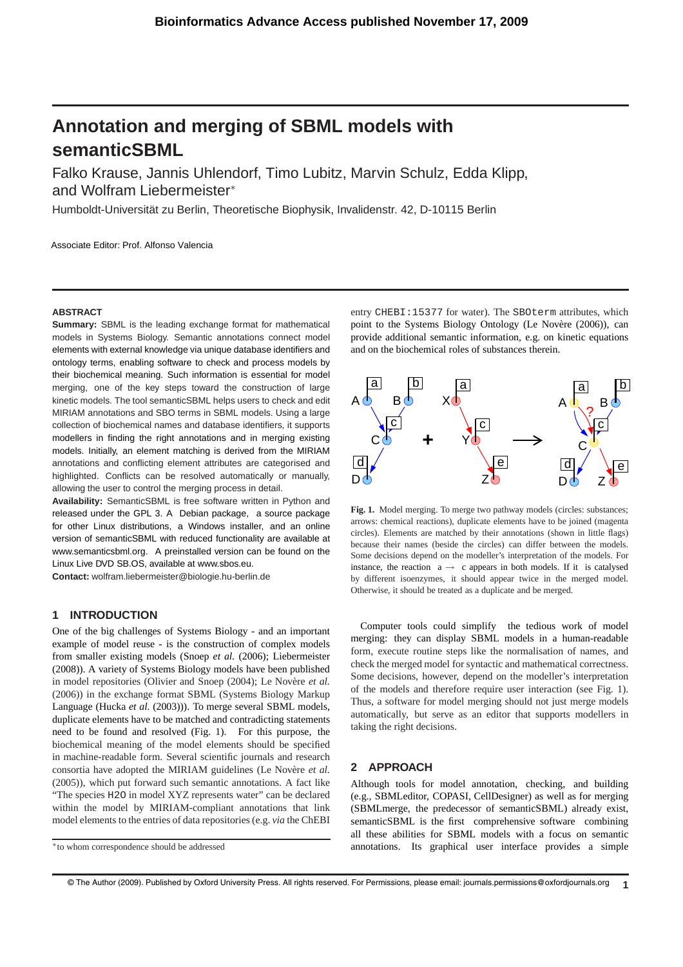# **Annotation and merging of SBML models with semanticSBML**

Falko Krause, Jannis Uhlendorf, Timo Lubitz, Marvin Schulz, Edda Klipp, and Wolfram Liebermeister<sup>∗</sup>

Humboldt-Universität zu Berlin, Theoretische Biophysik, Invalidenstr, 42, D-10115 Berlin

Associate Editor: Prof. Alfonso Valencia

#### **ABSTRACT**

**Summary:** SBML is the leading exchange format for mathematical models in Systems Biology. Semantic annotations connect model elements with external knowledge via unique database identifiers and ontology terms, enabling software to check and process models by their biochemical meaning. Such information is essential for model merging, one of the key steps toward the construction of large kinetic models. The tool semanticSBML helps users to check and edit MIRIAM annotations and SBO terms in SBML models. Using a large collection of biochemical names and database identifiers, it supports modellers in finding the right annotations and in merging existing models. Initially, an element matching is derived from the MIRIAM annotations and conflicting element attributes are categorised and highlighted. Conflicts can be resolved automatically or manually, allowing the user to control the merging process in detail.

**Availability:** SemanticSBML is free software written in Python and released under the GPL 3. A Debian package, a source package for other Linux distributions, a Windows installer, and an online version of semanticSBML with reduced functionality are available at www.semanticsbml.org. A preinstalled version can be found on the Linux Live DVD SB.OS, available at www.sbos.eu.

**Contact:** wolfram.liebermeister@biologie.hu-berlin.de

# **1 INTRODUCTION**

One of the big challenges of Systems Biology - and an important example of model reuse - is the construction of complex models from smaller existing models (Snoep *et al.* (2006); Liebermeister (2008)). A variety of Systems Biology models have been published in model repositories (Olivier and Snoep (2004); Le Novère et al. (2006)) in the exchange format SBML (Systems Biology Markup Language (Hucka *et al.* (2003))). To merge several SBML models, duplicate elements have to be matched and contradicting statements need to be found and resolved (Fig. 1). For this purpose, the biochemical meaning of the model elements should be specified in machine-readable form. Several scientific journals and research consortia have adopted the MIRIAM guidelines (Le Novère et al. (2005)), which put forward such semantic annotations. A fact like "The species H2O in model XYZ represents water" can be declared within the model by MIRIAM-compliant annotations that link model elements to the entries of data repositories (e.g. *via* the ChEBI entry CHEBI:15377 for water). The SBOterm attributes, which point to the Systems Biology Ontology (Le Novère (2006)), can provide additional semantic information, e.g. on kinetic equations and on the biochemical roles of substances therein.



Fig. 1. Model merging. To merge two pathway models (circles: substances; arrows: chemical reactions), duplicate elements have to be joined (magenta circles). Elements are matched by their annotations (shown in little flags) because their names (beside the circles) can differ between the models. Some decisions depend on the modeller's interpretation of the models. For instance, the reaction  $a \rightarrow c$  appears in both models. If it is catalysed by different isoenzymes, it should appear twice in the merged model. Otherwise, it should be treated as a duplicate and be merged.

Computer tools could simplify the tedious work of model merging: they can display SBML models in a human-readable form, execute routine steps like the normalisation of names, and check the merged model for syntactic and mathematical correctness. Some decisions, however, depend on the modeller's interpretation of the models and therefore require user interaction (see Fig. 1). Thus, a software for model merging should not just merge models automatically, but serve as an editor that supports modellers in taking the right decisions.

#### **2 APPROACH**

Although tools for model annotation, checking, and building (e.g., SBMLeditor, COPASI, CellDesigner) as well as for merging (SBMLmerge, the predecessor of semanticSBML) already exist, semanticSBML is the first comprehensive software combining all these abilities for SBML models with a focus on semantic annotations. Its graphical user interface provides a simple

<sup>∗</sup>to whom correspondence should be addressed

**<sup>1</sup>** © The Author (2009). Published by Oxford University Press. All rights reserved. For Permissions, please email: journals.permissions@oxfordjournals.org